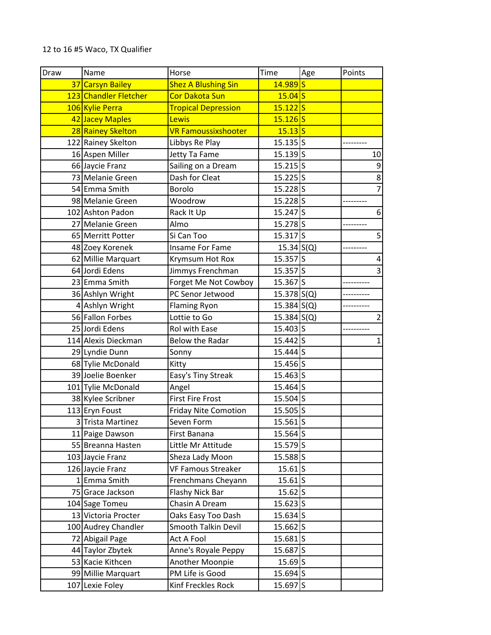## 12 to 16 #5 Waco, TX Qualifier

| Draw | Name                  | Horse                       | Time                | Age | Points         |
|------|-----------------------|-----------------------------|---------------------|-----|----------------|
|      | 37 Carsyn Bailey      | <b>Shez A Blushing Sin</b>  | $14.989$ S          |     |                |
|      | 123 Chandler Fletcher | <b>Cor Dakota Sun</b>       | $15.04$ S           |     |                |
|      | 106 Kylie Perra       | <b>Tropical Depression</b>  | $15.122$ S          |     |                |
|      | 42 Jacey Maples       | Lewis                       | 15.126S             |     |                |
|      | 28 Rainey Skelton     | <b>VR Famoussixshooter</b>  | $15.13$ S           |     |                |
|      | 122 Rainey Skelton    | Libbys Re Play              | $15.135$ S          |     |                |
|      | 16 Aspen Miller       | Jetty Ta Fame               | 15.139S             |     | 10             |
|      | 66 Jaycie Franz       | Sailing on a Dream          | $15.215$ S          |     | 9              |
|      | 73 Melanie Green      | Dash for Cleat              | $15.225$ S          |     | $\overline{8}$ |
|      | 54 Emma Smith         | Borolo                      | 15.228S             |     |                |
|      | 98 Melanie Green      | Woodrow                     | $15.228$ S          |     |                |
|      | 102 Ashton Padon      | Rack It Up                  | 15.247 S            |     | 6              |
|      | 27 Melanie Green      | Almo                        | 15.278S             |     |                |
|      | 65 Merritt Potter     | Si Can Too                  | 15.317S             |     | 5              |
|      | 48 Zoey Korenek       | <b>Insame For Fame</b>      | 15.34   S(Q)        |     |                |
|      | 62 Millie Marquart    | Krymsum Hot Rox             | 15.357S             |     | 4              |
|      | 64 Jordi Edens        | Jimmys Frenchman            | 15.357 S            |     | 3              |
|      | 23 Emma Smith         | Forget Me Not Cowboy        | 15.367S             |     |                |
|      | 36 Ashlyn Wright      | PC Senor Jetwood            | $15.378$ S(Q)       |     |                |
|      | 4 Ashlyn Wright       | <b>Flaming Ryon</b>         | 15.384   S(Q)       |     |                |
|      | 56 Fallon Forbes      | Lottie to Go                | 15.384   S(Q)       |     | $\overline{2}$ |
|      | 25 Jordi Edens        | Rol with Ease               | 15.403 S            |     |                |
|      | 114 Alexis Dieckman   | <b>Below the Radar</b>      | 15.442S             |     | 1              |
|      | 29 Lyndie Dunn        | Sonny                       | $15.444$ S          |     |                |
|      | 68 Tylie McDonald     | Kitty                       | 15.456S             |     |                |
|      | 39 Joelie Boenker     | Easy's Tiny Streak          | 15.463 S            |     |                |
|      | 101 Tylie McDonald    | Angel                       | 15.464 S            |     |                |
|      | 38 Kylee Scribner     | <b>First Fire Frost</b>     | 15.504S             |     |                |
|      | 113 Eryn Foust        | <b>Friday Nite Comotion</b> | 15.505 S            |     |                |
|      | 3 Trista Martinez     | Seven Form                  | $15.561$ S          |     |                |
|      | 11 Paige Dawson       | First Banana                | 15.564S             |     |                |
|      | 55 Breanna Hasten     | Little Mr Attitude          | $15.579$ S          |     |                |
|      | 103 Jaycie Franz      | Sheza Lady Moon             | 15.588S             |     |                |
|      | 126 Jaycie Franz      | <b>VF Famous Streaker</b>   | $15.61$ S           |     |                |
|      | 1 Emma Smith          | Frenchmans Cheyann          | $15.61$ S           |     |                |
|      | 75 Grace Jackson      | Flashy Nick Bar             | 15.62 S             |     |                |
|      | 104 Sage Tomeu        | Chasin A Dream              | $15.623$ S          |     |                |
|      | 13 Victoria Procter   | Oaks Easy Too Dash          | 15.634S             |     |                |
|      | 100 Audrey Chandler   | Smooth Talkin Devil         | 15.662S             |     |                |
|      | 72 Abigail Page       | Act A Fool                  | $15.681$ S          |     |                |
|      | 44 Taylor Zbytek      | Anne's Royale Peppy         | 15.687S             |     |                |
|      | 53 Kacie Kithcen      | Another Moonpie             | $15.69$ S           |     |                |
|      | 99 Millie Marquart    | PM Life is Good             | $15.694$ S          |     |                |
|      | 107 Lexie Foley       | Kinf Freckles Rock          | 15.697 <sub>S</sub> |     |                |